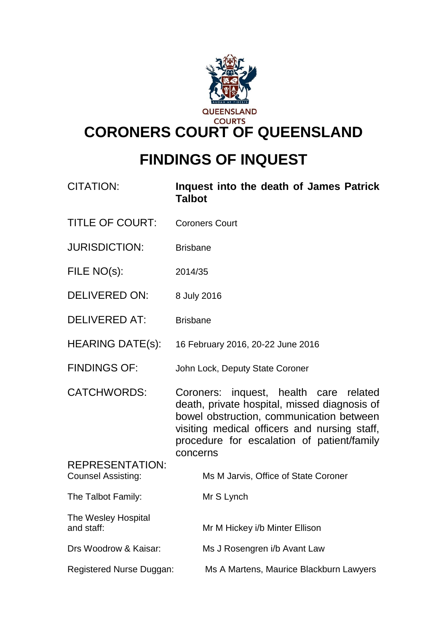

# **FINDINGS OF INQUEST**

| <b>CITATION:</b>                                    | Inquest into the death of James Patrick<br><b>Talbot</b>                                                                                                                                                                                     |  |
|-----------------------------------------------------|----------------------------------------------------------------------------------------------------------------------------------------------------------------------------------------------------------------------------------------------|--|
| <b>TITLE OF COURT:</b>                              | <b>Coroners Court</b>                                                                                                                                                                                                                        |  |
| <b>JURISDICTION:</b>                                | <b>Brisbane</b>                                                                                                                                                                                                                              |  |
| FILE NO(s):                                         | 2014/35                                                                                                                                                                                                                                      |  |
| <b>DELIVERED ON:</b>                                | 8 July 2016                                                                                                                                                                                                                                  |  |
| <b>DELIVERED AT:</b>                                | <b>Brisbane</b>                                                                                                                                                                                                                              |  |
| <b>HEARING DATE(s):</b>                             | 16 February 2016, 20-22 June 2016                                                                                                                                                                                                            |  |
| <b>FINDINGS OF:</b>                                 | John Lock, Deputy State Coroner                                                                                                                                                                                                              |  |
| <b>CATCHWORDS:</b>                                  | Coroners: inquest, health care related<br>death, private hospital, missed diagnosis of<br>bowel obstruction, communication between<br>visiting medical officers and nursing staff,<br>procedure for escalation of patient/family<br>concerns |  |
| <b>REPRESENTATION:</b><br><b>Counsel Assisting:</b> | Ms M Jarvis, Office of State Coroner                                                                                                                                                                                                         |  |
| The Talbot Family:                                  | Mr S Lynch                                                                                                                                                                                                                                   |  |
| The Wesley Hospital<br>and staff:                   | Mr M Hickey i/b Minter Ellison                                                                                                                                                                                                               |  |
| Drs Woodrow & Kaisar:                               | Ms J Rosengren i/b Avant Law                                                                                                                                                                                                                 |  |
| Registered Nurse Duggan:                            | Ms A Martens, Maurice Blackburn Lawyers                                                                                                                                                                                                      |  |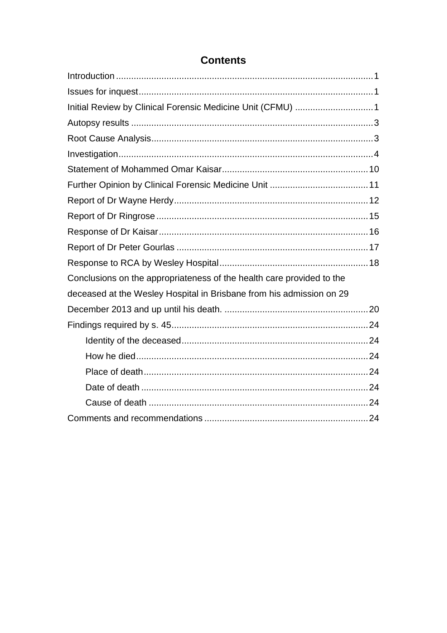| Initial Review by Clinical Forensic Medicine Unit (CFMU) 1            |  |
|-----------------------------------------------------------------------|--|
|                                                                       |  |
|                                                                       |  |
|                                                                       |  |
|                                                                       |  |
|                                                                       |  |
|                                                                       |  |
|                                                                       |  |
|                                                                       |  |
|                                                                       |  |
|                                                                       |  |
| Conclusions on the appropriateness of the health care provided to the |  |
| deceased at the Wesley Hospital in Brisbane from his admission on 29  |  |
|                                                                       |  |
|                                                                       |  |
|                                                                       |  |
|                                                                       |  |
|                                                                       |  |
|                                                                       |  |
|                                                                       |  |
|                                                                       |  |

# **Contents**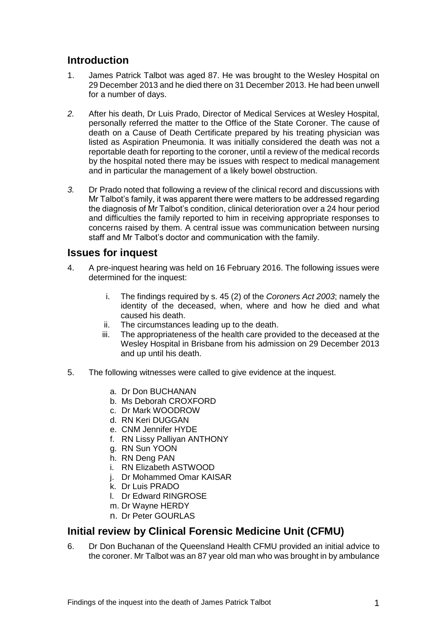## <span id="page-2-0"></span>**Introduction**

- 1. James Patrick Talbot was aged 87. He was brought to the Wesley Hospital on 29 December 2013 and he died there on 31 December 2013. He had been unwell for a number of days.
- *2.* After his death, Dr Luis Prado, Director of Medical Services at Wesley Hospital, personally referred the matter to the Office of the State Coroner. The cause of death on a Cause of Death Certificate prepared by his treating physician was listed as Aspiration Pneumonia. It was initially considered the death was not a reportable death for reporting to the coroner, until a review of the medical records by the hospital noted there may be issues with respect to medical management and in particular the management of a likely bowel obstruction.
- *3.* Dr Prado noted that following a review of the clinical record and discussions with Mr Talbot's family, it was apparent there were matters to be addressed regarding the diagnosis of Mr Talbot's condition, clinical deterioration over a 24 hour period and difficulties the family reported to him in receiving appropriate responses to concerns raised by them. A central issue was communication between nursing staff and Mr Talbot's doctor and communication with the family.

## <span id="page-2-1"></span>**Issues for inquest**

- 4. A pre-inquest hearing was held on 16 February 2016. The following issues were determined for the inquest:
	- i. The findings required by s. 45 (2) of the *Coroners Act 2003*; namely the identity of the deceased, when, where and how he died and what caused his death.
	- ii. The circumstances leading up to the death.
	- iii. The appropriateness of the health care provided to the deceased at the Wesley Hospital in Brisbane from his admission on 29 December 2013 and up until his death.
- 5. The following witnesses were called to give evidence at the inquest.
	- a. Dr Don BUCHANAN
	- b. Ms Deborah CROXFORD
	- c. Dr Mark WOODROW
	- d. RN Keri DUGGAN
	- e. CNM Jennifer HYDE
	- f. RN Lissy Palliyan ANTHONY
	- g. RN Sun YOON
	- h. RN Deng PAN
	- i. RN Elizabeth ASTWOOD
	- j. Dr Mohammed Omar KAISAR
	- k. Dr Luis PRADO
	- l. Dr Edward RINGROSE
	- m. Dr Wayne HERDY
	- n. Dr Peter GOURLAS

# <span id="page-2-2"></span>**Initial review by Clinical Forensic Medicine Unit (CFMU)**

6. Dr Don Buchanan of the Queensland Health CFMU provided an initial advice to the coroner. Mr Talbot was an 87 year old man who was brought in by ambulance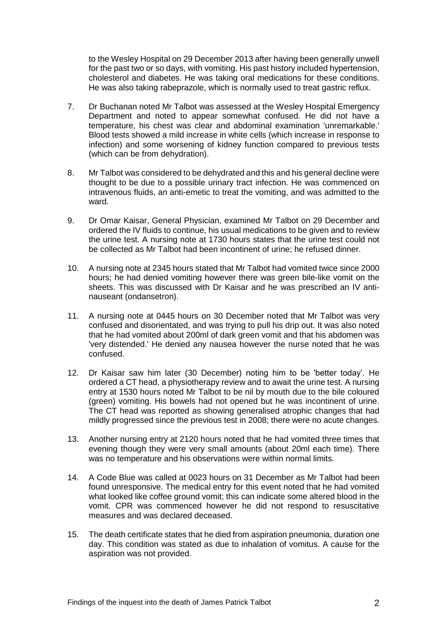to the Wesley Hospital on 29 December 2013 after having been generally unwell for the past two or so days, with vomiting. His past history included hypertension, cholesterol and diabetes. He was taking oral medications for these conditions. He was also taking rabeprazole, which is normally used to treat gastric reflux.

- 7. Dr Buchanan noted Mr Talbot was assessed at the Wesley Hospital Emergency Department and noted to appear somewhat confused. He did not have a temperature, his chest was clear and abdominal examination 'unremarkable.' Blood tests showed a mild increase in white cells (which increase in response to infection) and some worsening of kidney function compared to previous tests (which can be from dehydration).
- 8. Mr Talbot was considered to be dehydrated and this and his general decline were thought to be due to a possible urinary tract infection. He was commenced on intravenous fluids, an anti-emetic to treat the vomiting, and was admitted to the ward.
- 9. Dr Omar Kaisar, General Physician, examined Mr Talbot on 29 December and ordered the IV fluids to continue, his usual medications to be given and to review the urine test. A nursing note at 1730 hours states that the urine test could not be collected as Mr Talbot had been incontinent of urine; he refused dinner.
- 10. A nursing note at 2345 hours stated that Mr Talbot had vomited twice since 2000 hours; he had denied vomiting however there was green bile-like vomit on the sheets. This was discussed with Dr Kaisar and he was prescribed an IV antinauseant (ondansetron).
- 11. A nursing note at 0445 hours on 30 December noted that Mr Talbot was very confused and disorientated, and was trying to pull his drip out. It was also noted that he had vomited about 200ml of dark green vomit and that his abdomen was 'very distended.' He denied any nausea however the nurse noted that he was confused.
- 12. Dr Kaisar saw him later (30 December) noting him to be 'better today'. He ordered a CT head, a physiotherapy review and to await the urine test. A nursing entry at 1530 hours noted Mr Talbot to be nil by mouth due to the bile coloured (green) vomiting. His bowels had not opened but he was incontinent of urine. The CT head was reported as showing generalised atrophic changes that had mildly progressed since the previous test in 2008; there were no acute changes.
- 13. Another nursing entry at 2120 hours noted that he had vomited three times that evening though they were very small amounts (about 20ml each time). There was no temperature and his observations were within normal limits.
- 14. A Code Blue was called at 0023 hours on 31 December as Mr Talbot had been found unresponsive. The medical entry for this event noted that he had vomited what looked like coffee ground vomit; this can indicate some altered blood in the vomit. CPR was commenced however he did not respond to resuscitative measures and was declared deceased.
- 15. The death certificate states that he died from aspiration pneumonia, duration one day. This condition was stated as due to inhalation of vomitus. A cause for the aspiration was not provided.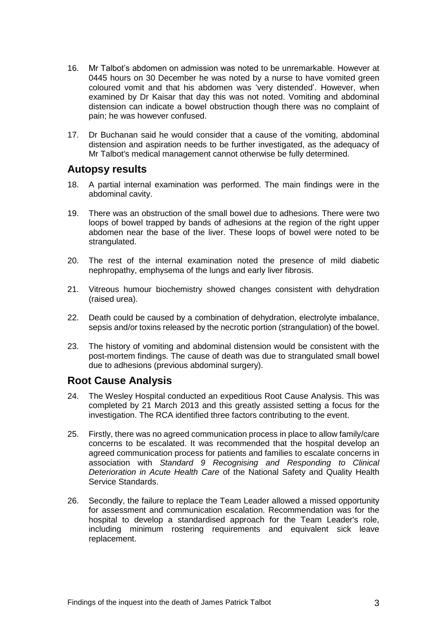- 16. Mr Talbot's abdomen on admission was noted to be unremarkable. However at 0445 hours on 30 December he was noted by a nurse to have vomited green coloured vomit and that his abdomen was 'very distended'. However, when examined by Dr Kaisar that day this was not noted. Vomiting and abdominal distension can indicate a bowel obstruction though there was no complaint of pain; he was however confused.
- 17. Dr Buchanan said he would consider that a cause of the vomiting, abdominal distension and aspiration needs to be further investigated, as the adequacy of Mr Talbot's medical management cannot otherwise be fully determined.

#### <span id="page-4-0"></span>**Autopsy results**

- 18. A partial internal examination was performed. The main findings were in the abdominal cavity.
- 19. There was an obstruction of the small bowel due to adhesions. There were two loops of bowel trapped by bands of adhesions at the region of the right upper abdomen near the base of the liver. These loops of bowel were noted to be strangulated.
- 20. The rest of the internal examination noted the presence of mild diabetic nephropathy, emphysema of the lungs and early liver fibrosis.
- 21. Vitreous humour biochemistry showed changes consistent with dehydration (raised urea).
- 22. Death could be caused by a combination of dehydration, electrolyte imbalance, sepsis and/or toxins released by the necrotic portion (strangulation) of the bowel.
- 23. The history of vomiting and abdominal distension would be consistent with the post-mortem findings. The cause of death was due to strangulated small bowel due to adhesions (previous abdominal surgery).

## <span id="page-4-1"></span>**Root Cause Analysis**

- 24. The Wesley Hospital conducted an expeditious Root Cause Analysis. This was completed by 21 March 2013 and this greatly assisted setting a focus for the investigation. The RCA identified three factors contributing to the event.
- 25. Firstly, there was no agreed communication process in place to allow family/care concerns to be escalated. It was recommended that the hospital develop an agreed communication process for patients and families to escalate concerns in association with *Standard 9 Recognising and Responding to Clinical Deterioration in Acute Health Care* of the National Safety and Quality Health Service Standards.
- 26. Secondly, the failure to replace the Team Leader allowed a missed opportunity for assessment and communication escalation. Recommendation was for the hospital to develop a standardised approach for the Team Leader's role, including minimum rostering requirements and equivalent sick leave replacement.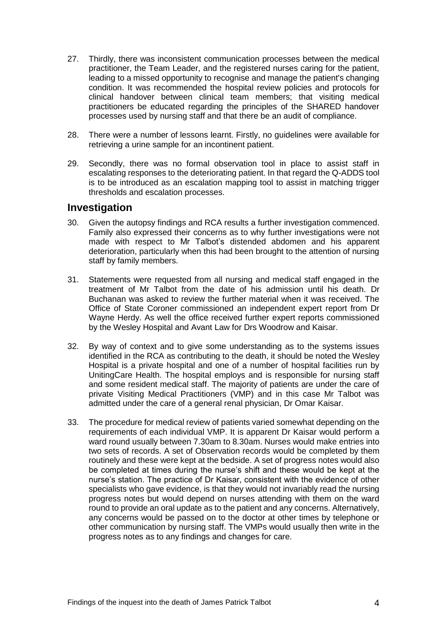- 27. Thirdly, there was inconsistent communication processes between the medical practitioner, the Team Leader, and the registered nurses caring for the patient, leading to a missed opportunity to recognise and manage the patient's changing condition. It was recommended the hospital review policies and protocols for clinical handover between clinical team members; that visiting medical practitioners be educated regarding the principles of the SHARED handover processes used by nursing staff and that there be an audit of compliance.
- 28. There were a number of lessons learnt. Firstly, no guidelines were available for retrieving a urine sample for an incontinent patient.
- 29. Secondly, there was no formal observation tool in place to assist staff in escalating responses to the deteriorating patient. In that regard the Q-ADDS tool is to be introduced as an escalation mapping tool to assist in matching trigger thresholds and escalation processes.

## <span id="page-5-0"></span>**Investigation**

- 30. Given the autopsy findings and RCA results a further investigation commenced. Family also expressed their concerns as to why further investigations were not made with respect to Mr Talbot's distended abdomen and his apparent deterioration, particularly when this had been brought to the attention of nursing staff by family members.
- 31. Statements were requested from all nursing and medical staff engaged in the treatment of Mr Talbot from the date of his admission until his death. Dr Buchanan was asked to review the further material when it was received. The Office of State Coroner commissioned an independent expert report from Dr Wayne Herdy. As well the office received further expert reports commissioned by the Wesley Hospital and Avant Law for Drs Woodrow and Kaisar.
- 32. By way of context and to give some understanding as to the systems issues identified in the RCA as contributing to the death, it should be noted the Wesley Hospital is a private hospital and one of a number of hospital facilities run by UnitingCare Health. The hospital employs and is responsible for nursing staff and some resident medical staff. The majority of patients are under the care of private Visiting Medical Practitioners (VMP) and in this case Mr Talbot was admitted under the care of a general renal physician, Dr Omar Kaisar.
- 33. The procedure for medical review of patients varied somewhat depending on the requirements of each individual VMP. It is apparent Dr Kaisar would perform a ward round usually between 7.30am to 8.30am. Nurses would make entries into two sets of records. A set of Observation records would be completed by them routinely and these were kept at the bedside. A set of progress notes would also be completed at times during the nurse's shift and these would be kept at the nurse's station. The practice of Dr Kaisar, consistent with the evidence of other specialists who gave evidence, is that they would not invariably read the nursing progress notes but would depend on nurses attending with them on the ward round to provide an oral update as to the patient and any concerns. Alternatively, any concerns would be passed on to the doctor at other times by telephone or other communication by nursing staff. The VMPs would usually then write in the progress notes as to any findings and changes for care.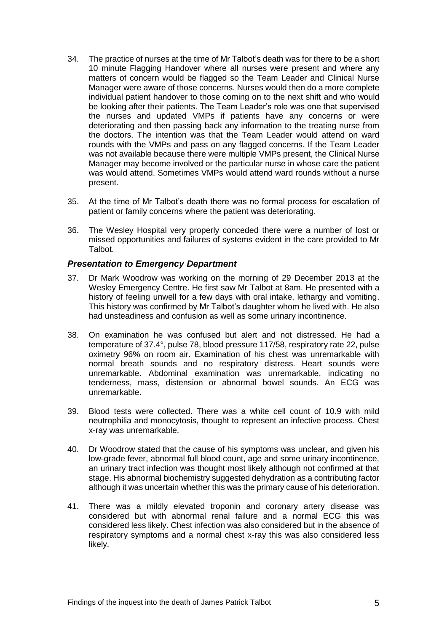- 34. The practice of nurses at the time of Mr Talbot's death was for there to be a short 10 minute Flagging Handover where all nurses were present and where any matters of concern would be flagged so the Team Leader and Clinical Nurse Manager were aware of those concerns. Nurses would then do a more complete individual patient handover to those coming on to the next shift and who would be looking after their patients. The Team Leader's role was one that supervised the nurses and updated VMPs if patients have any concerns or were deteriorating and then passing back any information to the treating nurse from the doctors. The intention was that the Team Leader would attend on ward rounds with the VMPs and pass on any flagged concerns. If the Team Leader was not available because there were multiple VMPs present, the Clinical Nurse Manager may become involved or the particular nurse in whose care the patient was would attend. Sometimes VMPs would attend ward rounds without a nurse present.
- 35. At the time of Mr Talbot's death there was no formal process for escalation of patient or family concerns where the patient was deteriorating.
- 36. The Wesley Hospital very properly conceded there were a number of lost or missed opportunities and failures of systems evident in the care provided to Mr Talbot.

#### *Presentation to Emergency Department*

- 37. Dr Mark Woodrow was working on the morning of 29 December 2013 at the Wesley Emergency Centre. He first saw Mr Talbot at 8am. He presented with a history of feeling unwell for a few days with oral intake, lethargy and vomiting. This history was confirmed by Mr Talbot's daughter whom he lived with. He also had unsteadiness and confusion as well as some urinary incontinence.
- 38. On examination he was confused but alert and not distressed. He had a temperature of 37.4°, pulse 78, blood pressure 117/58, respiratory rate 22, pulse oximetry 96% on room air. Examination of his chest was unremarkable with normal breath sounds and no respiratory distress. Heart sounds were unremarkable. Abdominal examination was unremarkable, indicating no tenderness, mass, distension or abnormal bowel sounds. An ECG was unremarkable.
- 39. Blood tests were collected. There was a white cell count of 10.9 with mild neutrophilia and monocytosis, thought to represent an infective process. Chest x-ray was unremarkable.
- 40. Dr Woodrow stated that the cause of his symptoms was unclear, and given his low-grade fever, abnormal full blood count, age and some urinary incontinence, an urinary tract infection was thought most likely although not confirmed at that stage. His abnormal biochemistry suggested dehydration as a contributing factor although it was uncertain whether this was the primary cause of his deterioration.
- 41. There was a mildly elevated troponin and coronary artery disease was considered but with abnormal renal failure and a normal ECG this was considered less likely. Chest infection was also considered but in the absence of respiratory symptoms and a normal chest x-ray this was also considered less likely.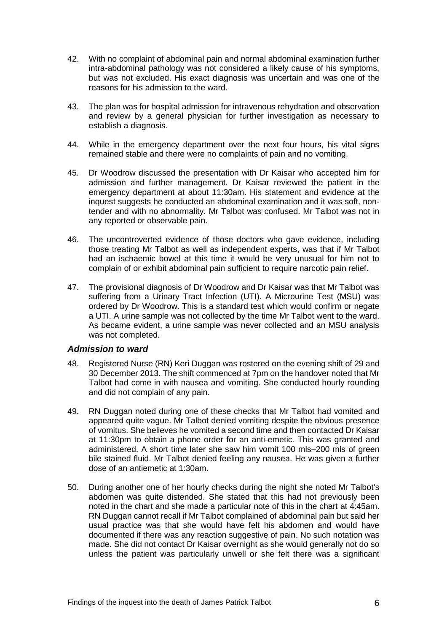- 42. With no complaint of abdominal pain and normal abdominal examination further intra-abdominal pathology was not considered a likely cause of his symptoms, but was not excluded. His exact diagnosis was uncertain and was one of the reasons for his admission to the ward.
- 43. The plan was for hospital admission for intravenous rehydration and observation and review by a general physician for further investigation as necessary to establish a diagnosis.
- 44. While in the emergency department over the next four hours, his vital signs remained stable and there were no complaints of pain and no vomiting.
- 45. Dr Woodrow discussed the presentation with Dr Kaisar who accepted him for admission and further management. Dr Kaisar reviewed the patient in the emergency department at about 11:30am. His statement and evidence at the inquest suggests he conducted an abdominal examination and it was soft, nontender and with no abnormality. Mr Talbot was confused. Mr Talbot was not in any reported or observable pain.
- 46. The uncontroverted evidence of those doctors who gave evidence, including those treating Mr Talbot as well as independent experts, was that if Mr Talbot had an ischaemic bowel at this time it would be very unusual for him not to complain of or exhibit abdominal pain sufficient to require narcotic pain relief.
- 47. The provisional diagnosis of Dr Woodrow and Dr Kaisar was that Mr Talbot was suffering from a Urinary Tract Infection (UTI). A Microurine Test (MSU) was ordered by Dr Woodrow. This is a standard test which would confirm or negate a UTI. A urine sample was not collected by the time Mr Talbot went to the ward. As became evident, a urine sample was never collected and an MSU analysis was not completed.

#### *Admission to ward*

- 48. Registered Nurse (RN) Keri Duggan was rostered on the evening shift of 29 and 30 December 2013. The shift commenced at 7pm on the handover noted that Mr Talbot had come in with nausea and vomiting. She conducted hourly rounding and did not complain of any pain.
- 49. RN Duggan noted during one of these checks that Mr Talbot had vomited and appeared quite vague. Mr Talbot denied vomiting despite the obvious presence of vomitus. She believes he vomited a second time and then contacted Dr Kaisar at 11:30pm to obtain a phone order for an anti-emetic. This was granted and administered. A short time later she saw him vomit 100 mls–200 mls of green bile stained fluid. Mr Talbot denied feeling any nausea. He was given a further dose of an antiemetic at 1:30am.
- 50. During another one of her hourly checks during the night she noted Mr Talbot's abdomen was quite distended. She stated that this had not previously been noted in the chart and she made a particular note of this in the chart at 4:45am. RN Duggan cannot recall if Mr Talbot complained of abdominal pain but said her usual practice was that she would have felt his abdomen and would have documented if there was any reaction suggestive of pain. No such notation was made. She did not contact Dr Kaisar overnight as she would generally not do so unless the patient was particularly unwell or she felt there was a significant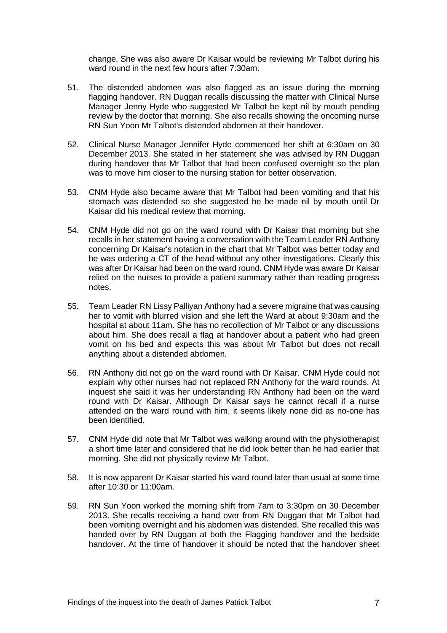change. She was also aware Dr Kaisar would be reviewing Mr Talbot during his ward round in the next few hours after 7:30am.

- 51. The distended abdomen was also flagged as an issue during the morning flagging handover. RN Duggan recalls discussing the matter with Clinical Nurse Manager Jenny Hyde who suggested Mr Talbot be kept nil by mouth pending review by the doctor that morning. She also recalls showing the oncoming nurse RN Sun Yoon Mr Talbot's distended abdomen at their handover.
- 52. Clinical Nurse Manager Jennifer Hyde commenced her shift at 6:30am on 30 December 2013. She stated in her statement she was advised by RN Duggan during handover that Mr Talbot that had been confused overnight so the plan was to move him closer to the nursing station for better observation.
- 53. CNM Hyde also became aware that Mr Talbot had been vomiting and that his stomach was distended so she suggested he be made nil by mouth until Dr Kaisar did his medical review that morning.
- 54. CNM Hyde did not go on the ward round with Dr Kaisar that morning but she recalls in her statement having a conversation with the Team Leader RN Anthony concerning Dr Kaisar's notation in the chart that Mr Talbot was better today and he was ordering a CT of the head without any other investigations. Clearly this was after Dr Kaisar had been on the ward round. CNM Hyde was aware Dr Kaisar relied on the nurses to provide a patient summary rather than reading progress notes.
- 55. Team Leader RN Lissy Palliyan Anthony had a severe migraine that was causing her to vomit with blurred vision and she left the Ward at about 9:30am and the hospital at about 11am. She has no recollection of Mr Talbot or any discussions about him. She does recall a flag at handover about a patient who had green vomit on his bed and expects this was about Mr Talbot but does not recall anything about a distended abdomen.
- 56. RN Anthony did not go on the ward round with Dr Kaisar. CNM Hyde could not explain why other nurses had not replaced RN Anthony for the ward rounds. At inquest she said it was her understanding RN Anthony had been on the ward round with Dr Kaisar. Although Dr Kaisar says he cannot recall if a nurse attended on the ward round with him, it seems likely none did as no-one has been identified.
- 57. CNM Hyde did note that Mr Talbot was walking around with the physiotherapist a short time later and considered that he did look better than he had earlier that morning. She did not physically review Mr Talbot.
- 58. It is now apparent Dr Kaisar started his ward round later than usual at some time after 10:30 or 11:00am.
- 59. RN Sun Yoon worked the morning shift from 7am to 3:30pm on 30 December 2013. She recalls receiving a hand over from RN Duggan that Mr Talbot had been vomiting overnight and his abdomen was distended. She recalled this was handed over by RN Duggan at both the Flagging handover and the bedside handover. At the time of handover it should be noted that the handover sheet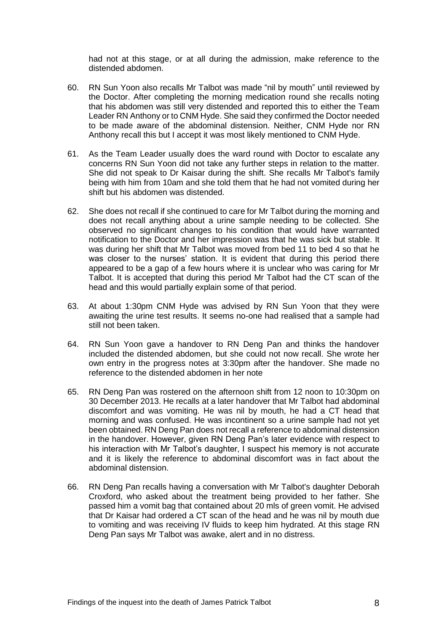had not at this stage, or at all during the admission, make reference to the distended abdomen.

- 60. RN Sun Yoon also recalls Mr Talbot was made "nil by mouth" until reviewed by the Doctor. After completing the morning medication round she recalls noting that his abdomen was still very distended and reported this to either the Team Leader RN Anthony or to CNM Hyde. She said they confirmed the Doctor needed to be made aware of the abdominal distension. Neither, CNM Hyde nor RN Anthony recall this but I accept it was most likely mentioned to CNM Hyde.
- 61. As the Team Leader usually does the ward round with Doctor to escalate any concerns RN Sun Yoon did not take any further steps in relation to the matter. She did not speak to Dr Kaisar during the shift. She recalls Mr Talbot's family being with him from 10am and she told them that he had not vomited during her shift but his abdomen was distended.
- 62. She does not recall if she continued to care for Mr Talbot during the morning and does not recall anything about a urine sample needing to be collected. She observed no significant changes to his condition that would have warranted notification to the Doctor and her impression was that he was sick but stable. It was during her shift that Mr Talbot was moved from bed 11 to bed 4 so that he was closer to the nurses' station. It is evident that during this period there appeared to be a gap of a few hours where it is unclear who was caring for Mr Talbot. It is accepted that during this period Mr Talbot had the CT scan of the head and this would partially explain some of that period.
- 63. At about 1:30pm CNM Hyde was advised by RN Sun Yoon that they were awaiting the urine test results. It seems no-one had realised that a sample had still not been taken.
- 64. RN Sun Yoon gave a handover to RN Deng Pan and thinks the handover included the distended abdomen, but she could not now recall. She wrote her own entry in the progress notes at 3:30pm after the handover. She made no reference to the distended abdomen in her note
- 65. RN Deng Pan was rostered on the afternoon shift from 12 noon to 10:30pm on 30 December 2013. He recalls at a later handover that Mr Talbot had abdominal discomfort and was vomiting. He was nil by mouth, he had a CT head that morning and was confused. He was incontinent so a urine sample had not yet been obtained. RN Deng Pan does not recall a reference to abdominal distension in the handover. However, given RN Deng Pan's later evidence with respect to his interaction with Mr Talbot's daughter, I suspect his memory is not accurate and it is likely the reference to abdominal discomfort was in fact about the abdominal distension.
- 66. RN Deng Pan recalls having a conversation with Mr Talbot's daughter Deborah Croxford, who asked about the treatment being provided to her father. She passed him a vomit bag that contained about 20 mls of green vomit. He advised that Dr Kaisar had ordered a CT scan of the head and he was nil by mouth due to vomiting and was receiving IV fluids to keep him hydrated. At this stage RN Deng Pan says Mr Talbot was awake, alert and in no distress.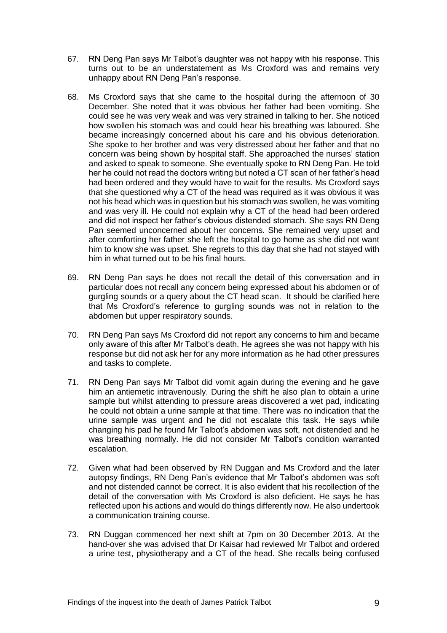- 67. RN Deng Pan says Mr Talbot's daughter was not happy with his response. This turns out to be an understatement as Ms Croxford was and remains very unhappy about RN Deng Pan's response.
- 68. Ms Croxford says that she came to the hospital during the afternoon of 30 December. She noted that it was obvious her father had been vomiting. She could see he was very weak and was very strained in talking to her. She noticed how swollen his stomach was and could hear his breathing was laboured. She became increasingly concerned about his care and his obvious deterioration. She spoke to her brother and was very distressed about her father and that no concern was being shown by hospital staff. She approached the nurses' station and asked to speak to someone. She eventually spoke to RN Deng Pan. He told her he could not read the doctors writing but noted a CT scan of her father's head had been ordered and they would have to wait for the results. Ms Croxford says that she questioned why a CT of the head was required as it was obvious it was not his head which was in question but his stomach was swollen, he was vomiting and was very ill. He could not explain why a CT of the head had been ordered and did not inspect her father's obvious distended stomach. She says RN Deng Pan seemed unconcerned about her concerns. She remained very upset and after comforting her father she left the hospital to go home as she did not want him to know she was upset. She regrets to this day that she had not stayed with him in what turned out to be his final hours.
- 69. RN Deng Pan says he does not recall the detail of this conversation and in particular does not recall any concern being expressed about his abdomen or of gurgling sounds or a query about the CT head scan. It should be clarified here that Ms Croxford's reference to gurgling sounds was not in relation to the abdomen but upper respiratory sounds.
- 70. RN Deng Pan says Ms Croxford did not report any concerns to him and became only aware of this after Mr Talbot's death. He agrees she was not happy with his response but did not ask her for any more information as he had other pressures and tasks to complete.
- 71. RN Deng Pan says Mr Talbot did vomit again during the evening and he gave him an antiemetic intravenously. During the shift he also plan to obtain a urine sample but whilst attending to pressure areas discovered a wet pad, indicating he could not obtain a urine sample at that time. There was no indication that the urine sample was urgent and he did not escalate this task. He says while changing his pad he found Mr Talbot's abdomen was soft, not distended and he was breathing normally. He did not consider Mr Talbot's condition warranted escalation.
- 72. Given what had been observed by RN Duggan and Ms Croxford and the later autopsy findings, RN Deng Pan's evidence that Mr Talbot's abdomen was soft and not distended cannot be correct. It is also evident that his recollection of the detail of the conversation with Ms Croxford is also deficient. He says he has reflected upon his actions and would do things differently now. He also undertook a communication training course.
- 73. RN Duggan commenced her next shift at 7pm on 30 December 2013. At the hand-over she was advised that Dr Kaisar had reviewed Mr Talbot and ordered a urine test, physiotherapy and a CT of the head. She recalls being confused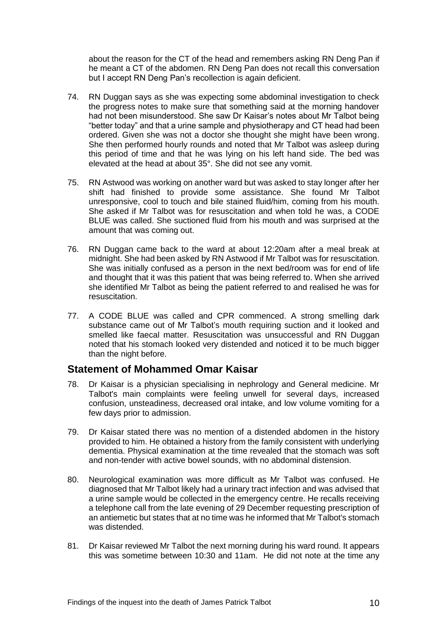about the reason for the CT of the head and remembers asking RN Deng Pan if he meant a CT of the abdomen. RN Deng Pan does not recall this conversation but I accept RN Deng Pan's recollection is again deficient.

- 74. RN Duggan says as she was expecting some abdominal investigation to check the progress notes to make sure that something said at the morning handover had not been misunderstood. She saw Dr Kaisar's notes about Mr Talbot being "better today" and that a urine sample and physiotherapy and CT head had been ordered. Given she was not a doctor she thought she might have been wrong. She then performed hourly rounds and noted that Mr Talbot was asleep during this period of time and that he was lying on his left hand side. The bed was elevated at the head at about 35°. She did not see any vomit.
- 75. RN Astwood was working on another ward but was asked to stay longer after her shift had finished to provide some assistance. She found Mr Talbot unresponsive, cool to touch and bile stained fluid/him, coming from his mouth. She asked if Mr Talbot was for resuscitation and when told he was, a CODE BLUE was called. She suctioned fluid from his mouth and was surprised at the amount that was coming out.
- 76. RN Duggan came back to the ward at about 12:20am after a meal break at midnight. She had been asked by RN Astwood if Mr Talbot was for resuscitation. She was initially confused as a person in the next bed/room was for end of life and thought that it was this patient that was being referred to. When she arrived she identified Mr Talbot as being the patient referred to and realised he was for resuscitation.
- 77. A CODE BLUE was called and CPR commenced. A strong smelling dark substance came out of Mr Talbot's mouth requiring suction and it looked and smelled like faecal matter. Resuscitation was unsuccessful and RN Duggan noted that his stomach looked very distended and noticed it to be much bigger than the night before.

## <span id="page-11-0"></span>**Statement of Mohammed Omar Kaisar**

- 78. Dr Kaisar is a physician specialising in nephrology and General medicine. Mr Talbot's main complaints were feeling unwell for several days, increased confusion, unsteadiness, decreased oral intake, and low volume vomiting for a few days prior to admission.
- 79. Dr Kaisar stated there was no mention of a distended abdomen in the history provided to him. He obtained a history from the family consistent with underlying dementia. Physical examination at the time revealed that the stomach was soft and non-tender with active bowel sounds, with no abdominal distension.
- 80. Neurological examination was more difficult as Mr Talbot was confused. He diagnosed that Mr Talbot likely had a urinary tract infection and was advised that a urine sample would be collected in the emergency centre. He recalls receiving a telephone call from the late evening of 29 December requesting prescription of an antiemetic but states that at no time was he informed that Mr Talbot's stomach was distended.
- 81. Dr Kaisar reviewed Mr Talbot the next morning during his ward round. It appears this was sometime between 10:30 and 11am. He did not note at the time any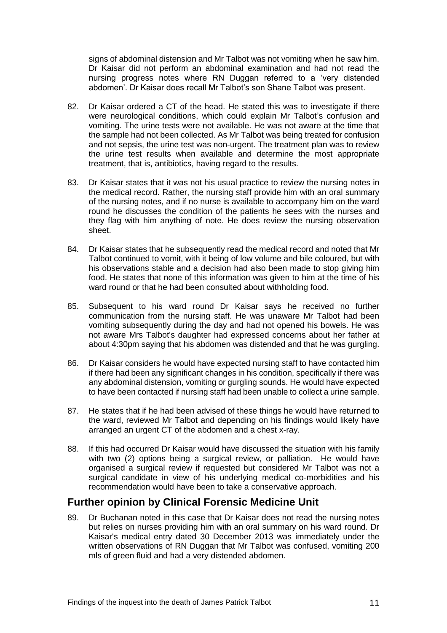signs of abdominal distension and Mr Talbot was not vomiting when he saw him. Dr Kaisar did not perform an abdominal examination and had not read the nursing progress notes where RN Duggan referred to a 'very distended abdomen'. Dr Kaisar does recall Mr Talbot's son Shane Talbot was present.

- 82. Dr Kaisar ordered a CT of the head. He stated this was to investigate if there were neurological conditions, which could explain Mr Talbot's confusion and vomiting. The urine tests were not available. He was not aware at the time that the sample had not been collected. As Mr Talbot was being treated for confusion and not sepsis, the urine test was non-urgent. The treatment plan was to review the urine test results when available and determine the most appropriate treatment, that is, antibiotics, having regard to the results.
- 83. Dr Kaisar states that it was not his usual practice to review the nursing notes in the medical record. Rather, the nursing staff provide him with an oral summary of the nursing notes, and if no nurse is available to accompany him on the ward round he discusses the condition of the patients he sees with the nurses and they flag with him anything of note. He does review the nursing observation sheet.
- 84. Dr Kaisar states that he subsequently read the medical record and noted that Mr Talbot continued to vomit, with it being of low volume and bile coloured, but with his observations stable and a decision had also been made to stop giving him food. He states that none of this information was given to him at the time of his ward round or that he had been consulted about withholding food.
- 85. Subsequent to his ward round Dr Kaisar says he received no further communication from the nursing staff. He was unaware Mr Talbot had been vomiting subsequently during the day and had not opened his bowels. He was not aware Mrs Talbot's daughter had expressed concerns about her father at about 4:30pm saying that his abdomen was distended and that he was gurgling.
- 86. Dr Kaisar considers he would have expected nursing staff to have contacted him if there had been any significant changes in his condition, specifically if there was any abdominal distension, vomiting or gurgling sounds. He would have expected to have been contacted if nursing staff had been unable to collect a urine sample.
- 87. He states that if he had been advised of these things he would have returned to the ward, reviewed Mr Talbot and depending on his findings would likely have arranged an urgent CT of the abdomen and a chest x-ray.
- 88. If this had occurred Dr Kaisar would have discussed the situation with his family with two (2) options being a surgical review, or palliation. He would have organised a surgical review if requested but considered Mr Talbot was not a surgical candidate in view of his underlying medical co-morbidities and his recommendation would have been to take a conservative approach.

## <span id="page-12-0"></span>**Further opinion by Clinical Forensic Medicine Unit**

89. Dr Buchanan noted in this case that Dr Kaisar does not read the nursing notes but relies on nurses providing him with an oral summary on his ward round. Dr Kaisar's medical entry dated 30 December 2013 was immediately under the written observations of RN Duggan that Mr Talbot was confused, vomiting 200 mls of green fluid and had a very distended abdomen.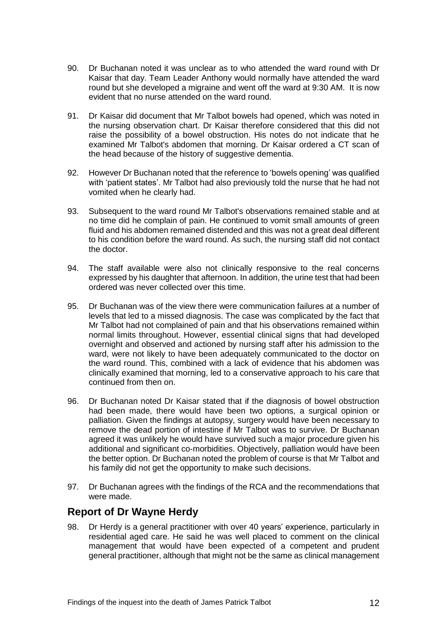- 90. Dr Buchanan noted it was unclear as to who attended the ward round with Dr Kaisar that day. Team Leader Anthony would normally have attended the ward round but she developed a migraine and went off the ward at 9:30 AM. It is now evident that no nurse attended on the ward round.
- 91. Dr Kaisar did document that Mr Talbot bowels had opened, which was noted in the nursing observation chart. Dr Kaisar therefore considered that this did not raise the possibility of a bowel obstruction. His notes do not indicate that he examined Mr Talbot's abdomen that morning. Dr Kaisar ordered a CT scan of the head because of the history of suggestive dementia.
- 92. However Dr Buchanan noted that the reference to 'bowels opening' was qualified with 'patient states'. Mr Talbot had also previously told the nurse that he had not vomited when he clearly had.
- 93. Subsequent to the ward round Mr Talbot's observations remained stable and at no time did he complain of pain. He continued to vomit small amounts of green fluid and his abdomen remained distended and this was not a great deal different to his condition before the ward round. As such, the nursing staff did not contact the doctor.
- 94. The staff available were also not clinically responsive to the real concerns expressed by his daughter that afternoon. In addition, the urine test that had been ordered was never collected over this time.
- 95. Dr Buchanan was of the view there were communication failures at a number of levels that led to a missed diagnosis. The case was complicated by the fact that Mr Talbot had not complained of pain and that his observations remained within normal limits throughout. However, essential clinical signs that had developed overnight and observed and actioned by nursing staff after his admission to the ward, were not likely to have been adequately communicated to the doctor on the ward round. This, combined with a lack of evidence that his abdomen was clinically examined that morning, led to a conservative approach to his care that continued from then on.
- 96. Dr Buchanan noted Dr Kaisar stated that if the diagnosis of bowel obstruction had been made, there would have been two options, a surgical opinion or palliation. Given the findings at autopsy, surgery would have been necessary to remove the dead portion of intestine if Mr Talbot was to survive. Dr Buchanan agreed it was unlikely he would have survived such a major procedure given his additional and significant co-morbidities. Objectively, palliation would have been the better option. Dr Buchanan noted the problem of course is that Mr Talbot and his family did not get the opportunity to make such decisions.
- 97. Dr Buchanan agrees with the findings of the RCA and the recommendations that were made.

## <span id="page-13-0"></span>**Report of Dr Wayne Herdy**

98. Dr Herdy is a general practitioner with over 40 years' experience, particularly in residential aged care. He said he was well placed to comment on the clinical management that would have been expected of a competent and prudent general practitioner, although that might not be the same as clinical management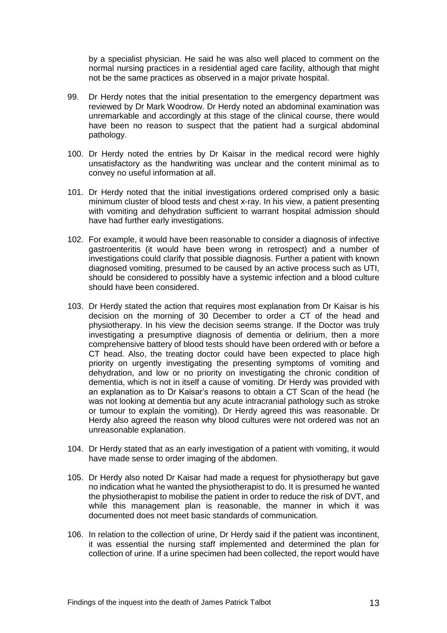by a specialist physician. He said he was also well placed to comment on the normal nursing practices in a residential aged care facility, although that might not be the same practices as observed in a major private hospital.

- 99. Dr Herdy notes that the initial presentation to the emergency department was reviewed by Dr Mark Woodrow. Dr Herdy noted an abdominal examination was unremarkable and accordingly at this stage of the clinical course, there would have been no reason to suspect that the patient had a surgical abdominal pathology.
- 100. Dr Herdy noted the entries by Dr Kaisar in the medical record were highly unsatisfactory as the handwriting was unclear and the content minimal as to convey no useful information at all.
- 101. Dr Herdy noted that the initial investigations ordered comprised only a basic minimum cluster of blood tests and chest x-ray. In his view, a patient presenting with vomiting and dehydration sufficient to warrant hospital admission should have had further early investigations.
- 102. For example, it would have been reasonable to consider a diagnosis of infective gastroenteritis (it would have been wrong in retrospect) and a number of investigations could clarify that possible diagnosis. Further a patient with known diagnosed vomiting, presumed to be caused by an active process such as UTI, should be considered to possibly have a systemic infection and a blood culture should have been considered.
- 103. Dr Herdy stated the action that requires most explanation from Dr Kaisar is his decision on the morning of 30 December to order a CT of the head and physiotherapy. In his view the decision seems strange. If the Doctor was truly investigating a presumptive diagnosis of dementia or delirium, then a more comprehensive battery of blood tests should have been ordered with or before a CT head. Also, the treating doctor could have been expected to place high priority on urgently investigating the presenting symptoms of vomiting and dehydration, and low or no priority on investigating the chronic condition of dementia, which is not in itself a cause of vomiting. Dr Herdy was provided with an explanation as to Dr Kaisar's reasons to obtain a CT Scan of the head (he was not looking at dementia but any acute intracranial pathology such as stroke or tumour to explain the vomiting). Dr Herdy agreed this was reasonable. Dr Herdy also agreed the reason why blood cultures were not ordered was not an unreasonable explanation.
- 104. Dr Herdy stated that as an early investigation of a patient with vomiting, it would have made sense to order imaging of the abdomen.
- 105. Dr Herdy also noted Dr Kaisar had made a request for physiotherapy but gave no indication what he wanted the physiotherapist to do. It is presumed he wanted the physiotherapist to mobilise the patient in order to reduce the risk of DVT, and while this management plan is reasonable, the manner in which it was documented does not meet basic standards of communication.
- 106. In relation to the collection of urine, Dr Herdy said if the patient was incontinent, it was essential the nursing staff implemented and determined the plan for collection of urine. If a urine specimen had been collected, the report would have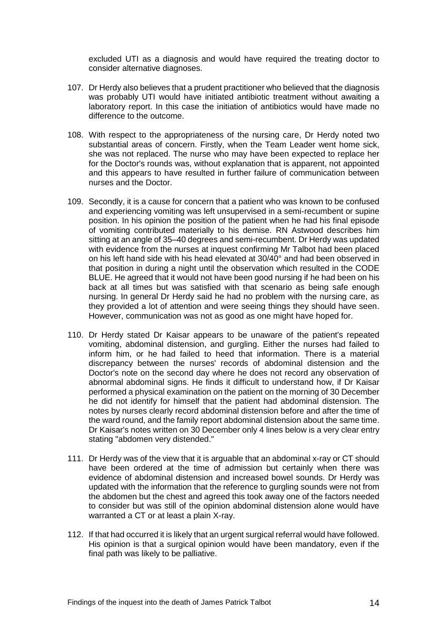excluded UTI as a diagnosis and would have required the treating doctor to consider alternative diagnoses.

- 107. Dr Herdy also believes that a prudent practitioner who believed that the diagnosis was probably UTI would have initiated antibiotic treatment without awaiting a laboratory report. In this case the initiation of antibiotics would have made no difference to the outcome.
- 108. With respect to the appropriateness of the nursing care, Dr Herdy noted two substantial areas of concern. Firstly, when the Team Leader went home sick, she was not replaced. The nurse who may have been expected to replace her for the Doctor's rounds was, without explanation that is apparent, not appointed and this appears to have resulted in further failure of communication between nurses and the Doctor.
- 109. Secondly, it is a cause for concern that a patient who was known to be confused and experiencing vomiting was left unsupervised in a semi-recumbent or supine position. In his opinion the position of the patient when he had his final episode of vomiting contributed materially to his demise. RN Astwood describes him sitting at an angle of 35–40 degrees and semi-recumbent. Dr Herdy was updated with evidence from the nurses at inquest confirming Mr Talbot had been placed on his left hand side with his head elevated at 30/40° and had been observed in that position in during a night until the observation which resulted in the CODE BLUE. He agreed that it would not have been good nursing if he had been on his back at all times but was satisfied with that scenario as being safe enough nursing. In general Dr Herdy said he had no problem with the nursing care, as they provided a lot of attention and were seeing things they should have seen. However, communication was not as good as one might have hoped for.
- 110. Dr Herdy stated Dr Kaisar appears to be unaware of the patient's repeated vomiting, abdominal distension, and gurgling. Either the nurses had failed to inform him, or he had failed to heed that information. There is a material discrepancy between the nurses' records of abdominal distension and the Doctor's note on the second day where he does not record any observation of abnormal abdominal signs. He finds it difficult to understand how, if Dr Kaisar performed a physical examination on the patient on the morning of 30 December he did not identify for himself that the patient had abdominal distension. The notes by nurses clearly record abdominal distension before and after the time of the ward round, and the family report abdominal distension about the same time. Dr Kaisar's notes written on 30 December only 4 lines below is a very clear entry stating "abdomen very distended."
- 111. Dr Herdy was of the view that it is arguable that an abdominal x-ray or CT should have been ordered at the time of admission but certainly when there was evidence of abdominal distension and increased bowel sounds. Dr Herdy was updated with the information that the reference to gurgling sounds were not from the abdomen but the chest and agreed this took away one of the factors needed to consider but was still of the opinion abdominal distension alone would have warranted a CT or at least a plain X-ray.
- 112. If that had occurred it is likely that an urgent surgical referral would have followed. His opinion is that a surgical opinion would have been mandatory, even if the final path was likely to be palliative.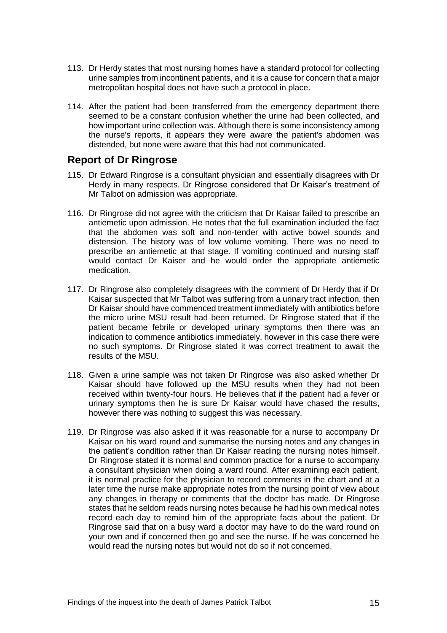- 113. Dr Herdy states that most nursing homes have a standard protocol for collecting urine samples from incontinent patients, and it is a cause for concern that a major metropolitan hospital does not have such a protocol in place.
- 114. After the patient had been transferred from the emergency department there seemed to be a constant confusion whether the urine had been collected, and how important urine collection was. Although there is some inconsistency among the nurse's reports, it appears they were aware the patient's abdomen was distended, but none were aware that this had not communicated.

#### <span id="page-16-0"></span>**Report of Dr Ringrose**

- 115. Dr Edward Ringrose is a consultant physician and essentially disagrees with Dr Herdy in many respects. Dr Ringrose considered that Dr Kaisar's treatment of Mr Talbot on admission was appropriate.
- 116. Dr Ringrose did not agree with the criticism that Dr Kaisar failed to prescribe an antiemetic upon admission. He notes that the full examination included the fact that the abdomen was soft and non-tender with active bowel sounds and distension. The history was of low volume vomiting. There was no need to prescribe an antiemetic at that stage. If vomiting continued and nursing staff would contact Dr Kaiser and he would order the appropriate antiemetic medication.
- 117. Dr Ringrose also completely disagrees with the comment of Dr Herdy that if Dr Kaisar suspected that Mr Talbot was suffering from a urinary tract infection, then Dr Kaisar should have commenced treatment immediately with antibiotics before the micro urine MSU result had been returned. Dr Ringrose stated that if the patient became febrile or developed urinary symptoms then there was an indication to commence antibiotics immediately, however in this case there were no such symptoms. Dr Ringrose stated it was correct treatment to await the results of the MSU.
- 118. Given a urine sample was not taken Dr Ringrose was also asked whether Dr Kaisar should have followed up the MSU results when they had not been received within twenty-four hours. He believes that if the patient had a fever or urinary symptoms then he is sure Dr Kaisar would have chased the results, however there was nothing to suggest this was necessary.
- 119. Dr Ringrose was also asked if it was reasonable for a nurse to accompany Dr Kaisar on his ward round and summarise the nursing notes and any changes in the patient's condition rather than Dr Kaisar reading the nursing notes himself. Dr Ringrose stated it is normal and common practice for a nurse to accompany a consultant physician when doing a ward round. After examining each patient, it is normal practice for the physician to record comments in the chart and at a later time the nurse make appropriate notes from the nursing point of view about any changes in therapy or comments that the doctor has made. Dr Ringrose states that he seldom reads nursing notes because he had his own medical notes record each day to remind him of the appropriate facts about the patient. Dr Ringrose said that on a busy ward a doctor may have to do the ward round on your own and if concerned then go and see the nurse. If he was concerned he would read the nursing notes but would not do so if not concerned.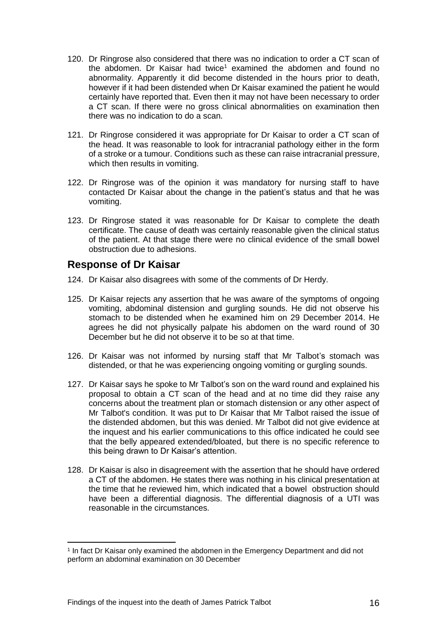- 120. Dr Ringrose also considered that there was no indication to order a CT scan of the abdomen. Dr Kaisar had twice<sup>1</sup> examined the abdomen and found no abnormality. Apparently it did become distended in the hours prior to death, however if it had been distended when Dr Kaisar examined the patient he would certainly have reported that. Even then it may not have been necessary to order a CT scan. If there were no gross clinical abnormalities on examination then there was no indication to do a scan.
- 121. Dr Ringrose considered it was appropriate for Dr Kaisar to order a CT scan of the head. It was reasonable to look for intracranial pathology either in the form of a stroke or a tumour. Conditions such as these can raise intracranial pressure, which then results in vomiting.
- 122. Dr Ringrose was of the opinion it was mandatory for nursing staff to have contacted Dr Kaisar about the change in the patient's status and that he was vomiting.
- 123. Dr Ringrose stated it was reasonable for Dr Kaisar to complete the death certificate. The cause of death was certainly reasonable given the clinical status of the patient. At that stage there were no clinical evidence of the small bowel obstruction due to adhesions.

## <span id="page-17-0"></span>**Response of Dr Kaisar**

l

- 124. Dr Kaisar also disagrees with some of the comments of Dr Herdy.
- 125. Dr Kaisar rejects any assertion that he was aware of the symptoms of ongoing vomiting, abdominal distension and gurgling sounds. He did not observe his stomach to be distended when he examined him on 29 December 2014. He agrees he did not physically palpate his abdomen on the ward round of 30 December but he did not observe it to be so at that time.
- 126. Dr Kaisar was not informed by nursing staff that Mr Talbot's stomach was distended, or that he was experiencing ongoing vomiting or gurgling sounds.
- 127. Dr Kaisar says he spoke to Mr Talbot's son on the ward round and explained his proposal to obtain a CT scan of the head and at no time did they raise any concerns about the treatment plan or stomach distension or any other aspect of Mr Talbot's condition. It was put to Dr Kaisar that Mr Talbot raised the issue of the distended abdomen, but this was denied. Mr Talbot did not give evidence at the inquest and his earlier communications to this office indicated he could see that the belly appeared extended/bloated, but there is no specific reference to this being drawn to Dr Kaisar's attention.
- 128. Dr Kaisar is also in disagreement with the assertion that he should have ordered a CT of the abdomen. He states there was nothing in his clinical presentation at the time that he reviewed him, which indicated that a bowel obstruction should have been a differential diagnosis. The differential diagnosis of a UTI was reasonable in the circumstances.

<sup>1</sup> In fact Dr Kaisar only examined the abdomen in the Emergency Department and did not perform an abdominal examination on 30 December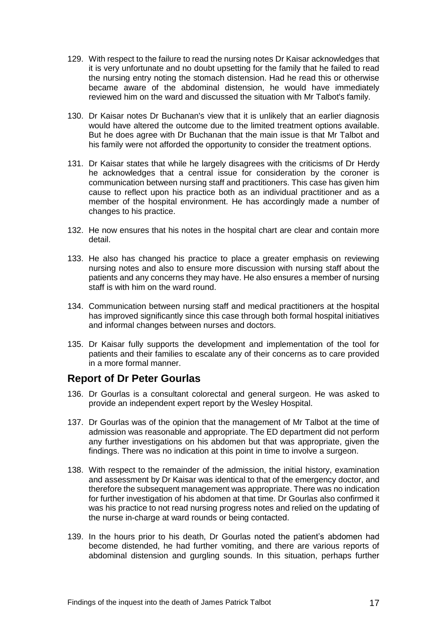- 129. With respect to the failure to read the nursing notes Dr Kaisar acknowledges that it is very unfortunate and no doubt upsetting for the family that he failed to read the nursing entry noting the stomach distension. Had he read this or otherwise became aware of the abdominal distension, he would have immediately reviewed him on the ward and discussed the situation with Mr Talbot's family.
- 130. Dr Kaisar notes Dr Buchanan's view that it is unlikely that an earlier diagnosis would have altered the outcome due to the limited treatment options available. But he does agree with Dr Buchanan that the main issue is that Mr Talbot and his family were not afforded the opportunity to consider the treatment options.
- 131. Dr Kaisar states that while he largely disagrees with the criticisms of Dr Herdy he acknowledges that a central issue for consideration by the coroner is communication between nursing staff and practitioners. This case has given him cause to reflect upon his practice both as an individual practitioner and as a member of the hospital environment. He has accordingly made a number of changes to his practice.
- 132. He now ensures that his notes in the hospital chart are clear and contain more detail.
- 133. He also has changed his practice to place a greater emphasis on reviewing nursing notes and also to ensure more discussion with nursing staff about the patients and any concerns they may have. He also ensures a member of nursing staff is with him on the ward round.
- 134. Communication between nursing staff and medical practitioners at the hospital has improved significantly since this case through both formal hospital initiatives and informal changes between nurses and doctors.
- 135. Dr Kaisar fully supports the development and implementation of the tool for patients and their families to escalate any of their concerns as to care provided in a more formal manner.

## <span id="page-18-0"></span>**Report of Dr Peter Gourlas**

- 136. Dr Gourlas is a consultant colorectal and general surgeon. He was asked to provide an independent expert report by the Wesley Hospital.
- 137. Dr Gourlas was of the opinion that the management of Mr Talbot at the time of admission was reasonable and appropriate. The ED department did not perform any further investigations on his abdomen but that was appropriate, given the findings. There was no indication at this point in time to involve a surgeon.
- 138. With respect to the remainder of the admission, the initial history, examination and assessment by Dr Kaisar was identical to that of the emergency doctor, and therefore the subsequent management was appropriate. There was no indication for further investigation of his abdomen at that time. Dr Gourlas also confirmed it was his practice to not read nursing progress notes and relied on the updating of the nurse in-charge at ward rounds or being contacted.
- 139. In the hours prior to his death, Dr Gourlas noted the patient's abdomen had become distended, he had further vomiting, and there are various reports of abdominal distension and gurgling sounds. In this situation, perhaps further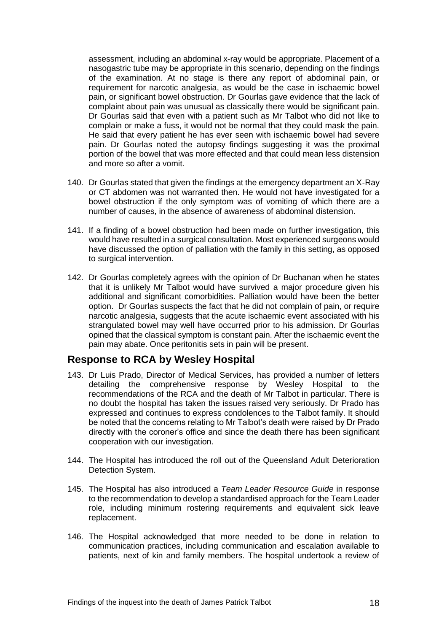assessment, including an abdominal x-ray would be appropriate. Placement of a nasogastric tube may be appropriate in this scenario, depending on the findings of the examination. At no stage is there any report of abdominal pain, or requirement for narcotic analgesia, as would be the case in ischaemic bowel pain, or significant bowel obstruction. Dr Gourlas gave evidence that the lack of complaint about pain was unusual as classically there would be significant pain. Dr Gourlas said that even with a patient such as Mr Talbot who did not like to complain or make a fuss, it would not be normal that they could mask the pain. He said that every patient he has ever seen with ischaemic bowel had severe pain. Dr Gourlas noted the autopsy findings suggesting it was the proximal portion of the bowel that was more effected and that could mean less distension and more so after a vomit.

- 140. Dr Gourlas stated that given the findings at the emergency department an X-Ray or CT abdomen was not warranted then. He would not have investigated for a bowel obstruction if the only symptom was of vomiting of which there are a number of causes, in the absence of awareness of abdominal distension.
- 141. If a finding of a bowel obstruction had been made on further investigation, this would have resulted in a surgical consultation. Most experienced surgeons would have discussed the option of palliation with the family in this setting, as opposed to surgical intervention.
- 142. Dr Gourlas completely agrees with the opinion of Dr Buchanan when he states that it is unlikely Mr Talbot would have survived a major procedure given his additional and significant comorbidities. Palliation would have been the better option. Dr Gourlas suspects the fact that he did not complain of pain, or require narcotic analgesia, suggests that the acute ischaemic event associated with his strangulated bowel may well have occurred prior to his admission. Dr Gourlas opined that the classical symptom is constant pain. After the ischaemic event the pain may abate. Once peritonitis sets in pain will be present.

## <span id="page-19-0"></span>**Response to RCA by Wesley Hospital**

- 143. Dr Luis Prado, Director of Medical Services, has provided a number of letters detailing the comprehensive response by Wesley Hospital to the recommendations of the RCA and the death of Mr Talbot in particular. There is no doubt the hospital has taken the issues raised very seriously. Dr Prado has expressed and continues to express condolences to the Talbot family. It should be noted that the concerns relating to Mr Talbot's death were raised by Dr Prado directly with the coroner's office and since the death there has been significant cooperation with our investigation.
- 144. The Hospital has introduced the roll out of the Queensland Adult Deterioration Detection System.
- 145. The Hospital has also introduced a *Team Leader Resource Guide* in response to the recommendation to develop a standardised approach for the Team Leader role, including minimum rostering requirements and equivalent sick leave replacement.
- 146. The Hospital acknowledged that more needed to be done in relation to communication practices, including communication and escalation available to patients, next of kin and family members. The hospital undertook a review of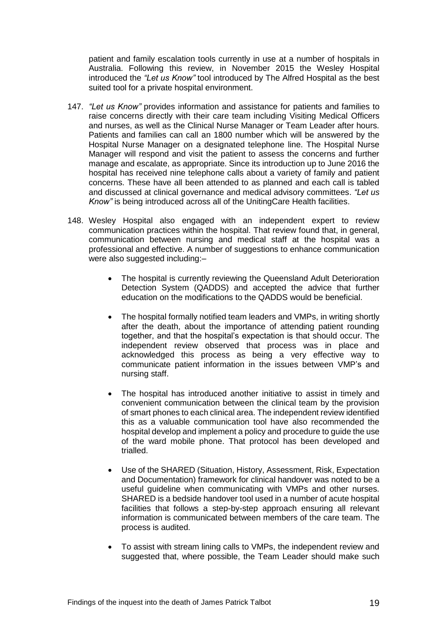patient and family escalation tools currently in use at a number of hospitals in Australia. Following this review, in November 2015 the Wesley Hospital introduced the *"Let us Know"* tool introduced by The Alfred Hospital as the best suited tool for a private hospital environment.

- 147. *"Let us Know"* provides information and assistance for patients and families to raise concerns directly with their care team including Visiting Medical Officers and nurses, as well as the Clinical Nurse Manager or Team Leader after hours. Patients and families can call an 1800 number which will be answered by the Hospital Nurse Manager on a designated telephone line. The Hospital Nurse Manager will respond and visit the patient to assess the concerns and further manage and escalate, as appropriate. Since its introduction up to June 2016 the hospital has received nine telephone calls about a variety of family and patient concerns. These have all been attended to as planned and each call is tabled and discussed at clinical governance and medical advisory committees. *"Let us Know"* is being introduced across all of the UnitingCare Health facilities.
- 148. Wesley Hospital also engaged with an independent expert to review communication practices within the hospital. That review found that, in general, communication between nursing and medical staff at the hospital was a professional and effective. A number of suggestions to enhance communication were also suggested including:-
	- The hospital is currently reviewing the Queensland Adult Deterioration Detection System (QADDS) and accepted the advice that further education on the modifications to the QADDS would be beneficial.
	- The hospital formally notified team leaders and VMPs, in writing shortly after the death, about the importance of attending patient rounding together, and that the hospital's expectation is that should occur. The independent review observed that process was in place and acknowledged this process as being a very effective way to communicate patient information in the issues between VMP's and nursing staff.
	- The hospital has introduced another initiative to assist in timely and convenient communication between the clinical team by the provision of smart phones to each clinical area. The independent review identified this as a valuable communication tool have also recommended the hospital develop and implement a policy and procedure to guide the use of the ward mobile phone. That protocol has been developed and trialled.
	- Use of the SHARED (Situation, History, Assessment, Risk, Expectation and Documentation) framework for clinical handover was noted to be a useful guideline when communicating with VMPs and other nurses. SHARED is a bedside handover tool used in a number of acute hospital facilities that follows a step-by-step approach ensuring all relevant information is communicated between members of the care team. The process is audited.
	- To assist with stream lining calls to VMPs, the independent review and suggested that, where possible, the Team Leader should make such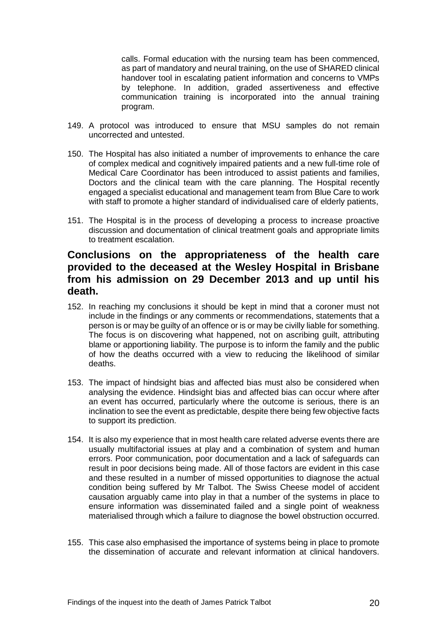calls. Formal education with the nursing team has been commenced, as part of mandatory and neural training, on the use of SHARED clinical handover tool in escalating patient information and concerns to VMPs by telephone. In addition, graded assertiveness and effective communication training is incorporated into the annual training program.

- 149. A protocol was introduced to ensure that MSU samples do not remain uncorrected and untested.
- 150. The Hospital has also initiated a number of improvements to enhance the care of complex medical and cognitively impaired patients and a new full-time role of Medical Care Coordinator has been introduced to assist patients and families, Doctors and the clinical team with the care planning. The Hospital recently engaged a specialist educational and management team from Blue Care to work with staff to promote a higher standard of individualised care of elderly patients,
- 151. The Hospital is in the process of developing a process to increase proactive discussion and documentation of clinical treatment goals and appropriate limits to treatment escalation.

## <span id="page-21-0"></span>**Conclusions on the appropriateness of the health care provided to the deceased at the Wesley Hospital in Brisbane from his admission on 29 December 2013 and up until his death.**

- 152. In reaching my conclusions it should be kept in mind that a coroner must not include in the findings or any comments or recommendations, statements that a person is or may be guilty of an offence or is or may be civilly liable for something. The focus is on discovering what happened, not on ascribing guilt, attributing blame or apportioning liability. The purpose is to inform the family and the public of how the deaths occurred with a view to reducing the likelihood of similar deaths.
- 153. The impact of hindsight bias and affected bias must also be considered when analysing the evidence. Hindsight bias and affected bias can occur where after an event has occurred, particularly where the outcome is serious, there is an inclination to see the event as predictable, despite there being few objective facts to support its prediction.
- 154. It is also my experience that in most health care related adverse events there are usually multifactorial issues at play and a combination of system and human errors. Poor communication, poor documentation and a lack of safeguards can result in poor decisions being made. All of those factors are evident in this case and these resulted in a number of missed opportunities to diagnose the actual condition being suffered by Mr Talbot. The Swiss Cheese model of accident causation arguably came into play in that a number of the systems in place to ensure information was disseminated failed and a single point of weakness materialised through which a failure to diagnose the bowel obstruction occurred.
- 155. This case also emphasised the importance of systems being in place to promote the dissemination of accurate and relevant information at clinical handovers.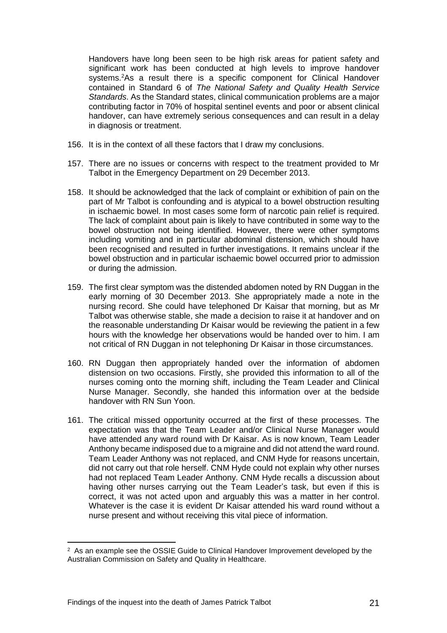Handovers have long been seen to be high risk areas for patient safety and significant work has been conducted at high levels to improve handover systems.<sup>2</sup>As a result there is a specific component for Clinical Handover contained in Standard 6 of *The National Safety and Quality Health Service Standards*. As the Standard states, clinical communication problems are a major contributing factor in 70% of hospital sentinel events and poor or absent clinical handover, can have extremely serious consequences and can result in a delay in diagnosis or treatment.

- 156. It is in the context of all these factors that I draw my conclusions.
- 157. There are no issues or concerns with respect to the treatment provided to Mr Talbot in the Emergency Department on 29 December 2013.
- 158. It should be acknowledged that the lack of complaint or exhibition of pain on the part of Mr Talbot is confounding and is atypical to a bowel obstruction resulting in ischaemic bowel. In most cases some form of narcotic pain relief is required. The lack of complaint about pain is likely to have contributed in some way to the bowel obstruction not being identified. However, there were other symptoms including vomiting and in particular abdominal distension, which should have been recognised and resulted in further investigations. It remains unclear if the bowel obstruction and in particular ischaemic bowel occurred prior to admission or during the admission.
- 159. The first clear symptom was the distended abdomen noted by RN Duggan in the early morning of 30 December 2013. She appropriately made a note in the nursing record. She could have telephoned Dr Kaisar that morning, but as Mr Talbot was otherwise stable, she made a decision to raise it at handover and on the reasonable understanding Dr Kaisar would be reviewing the patient in a few hours with the knowledge her observations would be handed over to him. I am not critical of RN Duggan in not telephoning Dr Kaisar in those circumstances.
- 160. RN Duggan then appropriately handed over the information of abdomen distension on two occasions. Firstly, she provided this information to all of the nurses coming onto the morning shift, including the Team Leader and Clinical Nurse Manager. Secondly, she handed this information over at the bedside handover with RN Sun Yoon.
- 161. The critical missed opportunity occurred at the first of these processes. The expectation was that the Team Leader and/or Clinical Nurse Manager would have attended any ward round with Dr Kaisar. As is now known, Team Leader Anthony became indisposed due to a migraine and did not attend the ward round. Team Leader Anthony was not replaced, and CNM Hyde for reasons uncertain, did not carry out that role herself. CNM Hyde could not explain why other nurses had not replaced Team Leader Anthony. CNM Hyde recalls a discussion about having other nurses carrying out the Team Leader's task, but even if this is correct, it was not acted upon and arguably this was a matter in her control. Whatever is the case it is evident Dr Kaisar attended his ward round without a nurse present and without receiving this vital piece of information.

l

 $2$  As an example see the OSSIE Guide to Clinical Handover Improvement developed by the Australian Commission on Safety and Quality in Healthcare.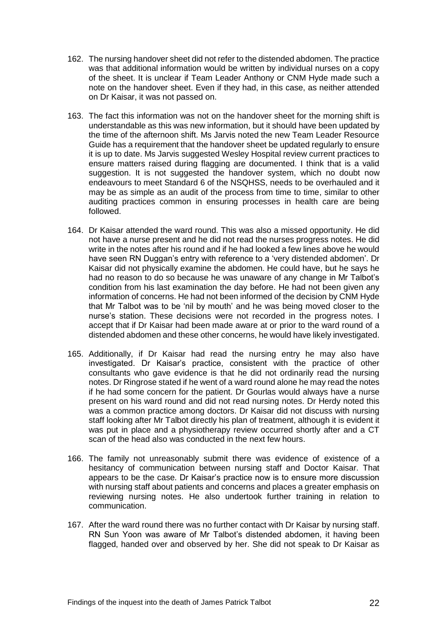- 162. The nursing handover sheet did not refer to the distended abdomen. The practice was that additional information would be written by individual nurses on a copy of the sheet. It is unclear if Team Leader Anthony or CNM Hyde made such a note on the handover sheet. Even if they had, in this case, as neither attended on Dr Kaisar, it was not passed on.
- 163. The fact this information was not on the handover sheet for the morning shift is understandable as this was new information, but it should have been updated by the time of the afternoon shift. Ms Jarvis noted the new Team Leader Resource Guide has a requirement that the handover sheet be updated regularly to ensure it is up to date. Ms Jarvis suggested Wesley Hospital review current practices to ensure matters raised during flagging are documented. I think that is a valid suggestion. It is not suggested the handover system, which no doubt now endeavours to meet Standard 6 of the NSQHSS, needs to be overhauled and it may be as simple as an audit of the process from time to time, similar to other auditing practices common in ensuring processes in health care are being followed.
- 164. Dr Kaisar attended the ward round. This was also a missed opportunity. He did not have a nurse present and he did not read the nurses progress notes. He did write in the notes after his round and if he had looked a few lines above he would have seen RN Duggan's entry with reference to a 'very distended abdomen'. Dr Kaisar did not physically examine the abdomen. He could have, but he says he had no reason to do so because he was unaware of any change in Mr Talbot's condition from his last examination the day before. He had not been given any information of concerns. He had not been informed of the decision by CNM Hyde that Mr Talbot was to be 'nil by mouth' and he was being moved closer to the nurse's station. These decisions were not recorded in the progress notes. I accept that if Dr Kaisar had been made aware at or prior to the ward round of a distended abdomen and these other concerns, he would have likely investigated.
- 165. Additionally, if Dr Kaisar had read the nursing entry he may also have investigated. Dr Kaisar's practice, consistent with the practice of other consultants who gave evidence is that he did not ordinarily read the nursing notes. Dr Ringrose stated if he went of a ward round alone he may read the notes if he had some concern for the patient. Dr Gourlas would always have a nurse present on his ward round and did not read nursing notes. Dr Herdy noted this was a common practice among doctors. Dr Kaisar did not discuss with nursing staff looking after Mr Talbot directly his plan of treatment, although it is evident it was put in place and a physiotherapy review occurred shortly after and a CT scan of the head also was conducted in the next few hours.
- 166. The family not unreasonably submit there was evidence of existence of a hesitancy of communication between nursing staff and Doctor Kaisar. That appears to be the case. Dr Kaisar's practice now is to ensure more discussion with nursing staff about patients and concerns and places a greater emphasis on reviewing nursing notes. He also undertook further training in relation to communication.
- 167. After the ward round there was no further contact with Dr Kaisar by nursing staff. RN Sun Yoon was aware of Mr Talbot's distended abdomen, it having been flagged, handed over and observed by her. She did not speak to Dr Kaisar as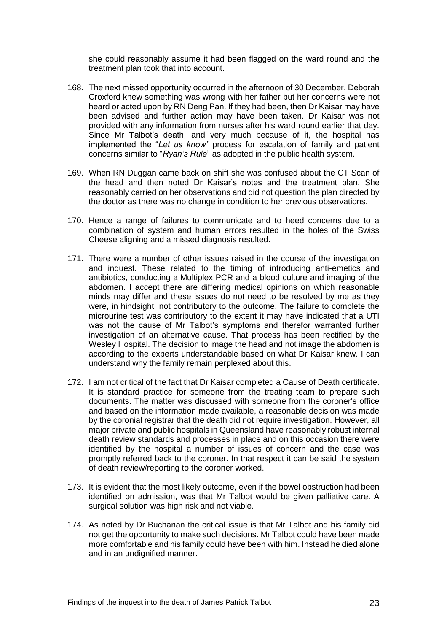she could reasonably assume it had been flagged on the ward round and the treatment plan took that into account.

- 168. The next missed opportunity occurred in the afternoon of 30 December. Deborah Croxford knew something was wrong with her father but her concerns were not heard or acted upon by RN Deng Pan. If they had been, then Dr Kaisar may have been advised and further action may have been taken. Dr Kaisar was not provided with any information from nurses after his ward round earlier that day. Since Mr Talbot's death, and very much because of it, the hospital has implemented the "*Let us know"* process for escalation of family and patient concerns similar to "*Ryan's Rule*" as adopted in the public health system.
- 169. When RN Duggan came back on shift she was confused about the CT Scan of the head and then noted Dr Kaisar's notes and the treatment plan. She reasonably carried on her observations and did not question the plan directed by the doctor as there was no change in condition to her previous observations.
- 170. Hence a range of failures to communicate and to heed concerns due to a combination of system and human errors resulted in the holes of the Swiss Cheese aligning and a missed diagnosis resulted.
- 171. There were a number of other issues raised in the course of the investigation and inquest. These related to the timing of introducing anti-emetics and antibiotics, conducting a Multiplex PCR and a blood culture and imaging of the abdomen. I accept there are differing medical opinions on which reasonable minds may differ and these issues do not need to be resolved by me as they were, in hindsight, not contributory to the outcome. The failure to complete the microurine test was contributory to the extent it may have indicated that a UTI was not the cause of Mr Talbot's symptoms and therefor warranted further investigation of an alternative cause. That process has been rectified by the Wesley Hospital. The decision to image the head and not image the abdomen is according to the experts understandable based on what Dr Kaisar knew. I can understand why the family remain perplexed about this.
- 172. I am not critical of the fact that Dr Kaisar completed a Cause of Death certificate. It is standard practice for someone from the treating team to prepare such documents. The matter was discussed with someone from the coroner's office and based on the information made available, a reasonable decision was made by the coronial registrar that the death did not require investigation. However, all major private and public hospitals in Queensland have reasonably robust internal death review standards and processes in place and on this occasion there were identified by the hospital a number of issues of concern and the case was promptly referred back to the coroner. In that respect it can be said the system of death review/reporting to the coroner worked.
- 173. It is evident that the most likely outcome, even if the bowel obstruction had been identified on admission, was that Mr Talbot would be given palliative care. A surgical solution was high risk and not viable.
- 174. As noted by Dr Buchanan the critical issue is that Mr Talbot and his family did not get the opportunity to make such decisions. Mr Talbot could have been made more comfortable and his family could have been with him. Instead he died alone and in an undignified manner.